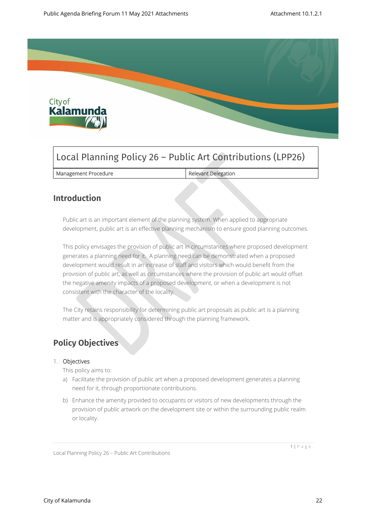

# Local Planning Policy 26 – Public Art Contributions (LPP26)

| Management Procedure | Relevant Delegation |
|----------------------|---------------------|
|----------------------|---------------------|

## **Introduction**

Public art is an important element of the planning system. When applied to appropriate development, public art is an effective planning mechanism to ensure good planning outcomes.

This policy envisages the provision of public art in circumstances where proposed development generates a planning need for it. A planning need can be demonstrated when a proposed development would result in an increase of staff and visitors which would benefit from the provision of public art, as well as circumstances where the provision of public art would offset the negative amenity impacts of a proposed development, or when a development is not consistent with the character of the locality.

The City retains responsibility for determining public art proposals as public art is a planning matter and is appropriately considered through the planning framework.

## **Policy Objectives**

#### 1. **Objectives**

This policy aims to:

- a) Facilitate the provision of public art when a proposed development generates a planning need for it, through proportionate contributions.
- b) Enhance the amenity provided to occupants or visitors of new developments through the provision of public artwork on the development site or within the surrounding public realm or locality.

1 | P a g e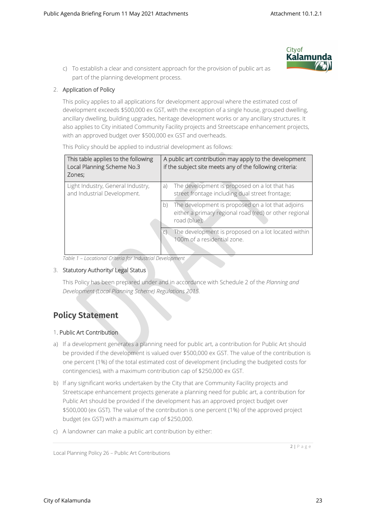- **City of** Kalamu
- c) To establish a clear and consistent approach for the provision of public art as part of the planning development process.

#### 2. **Application of Policy**

This policy applies to all applications for development approval where the estimated cost of development exceeds \$500,000 ex GST, with the exception of a single house, grouped dwelling, ancillary dwelling, building upgrades, heritage development works or any ancillary structures. It also applies to City initiated Community Facility projects and Streetscape enhancement projects, with an approved budget over \$500,000 ex GST and overheads.

This Policy should be applied to industrial development as follows:

| This table applies to the following<br>Local Planning Scheme No.3<br>Zones: | A public art contribution may apply to the development<br>if the subject site meets any of the following criteria: |                                                                                                                             |
|-----------------------------------------------------------------------------|--------------------------------------------------------------------------------------------------------------------|-----------------------------------------------------------------------------------------------------------------------------|
| Light Industry, General Industry,<br>and Industrial Development.            | a)                                                                                                                 | The development is proposed on a lot that has<br>street frontage including dual street frontage;                            |
|                                                                             | b)                                                                                                                 | The development is proposed on a lot that adjoins<br>either a primary regional road (red) or other regional<br>road (blue); |
|                                                                             |                                                                                                                    | The development is proposed on a lot located within<br>100m of a residential zone.                                          |

*Table 1 – Locational Criteria for Industrial Development*

#### 3. **Statutory Authority/ Legal Status**

This Policy has been prepared under and in accordance with Schedule 2 of the *Planning and Development (Local Planning Scheme) Regulations 2015.*

## **Policy Statement**

#### 1**. Public Art Contribution**

- a) If a development generates a planning need for public art, a contribution for Public Art should be provided if the development is valued over \$500,000 ex GST. The value of the contribution is one percent (1%) of the total estimated cost of development (including the budgeted costs for contingencies), with a maximum contribution cap of \$250,000 ex GST.
- b) If any significant works undertaken by the City that are Community Facility projects and Streetscape enhancement projects generate a planning need for public art, a contribution for Public Art should be provided if the development has an approved project budget over \$500,000 (ex GST). The value of the contribution is one percent (1%) of the approved project budget (ex GST) with a maximum cap of \$250,000.
- c) A landowner can make a public art contribution by either:

2 | P a g e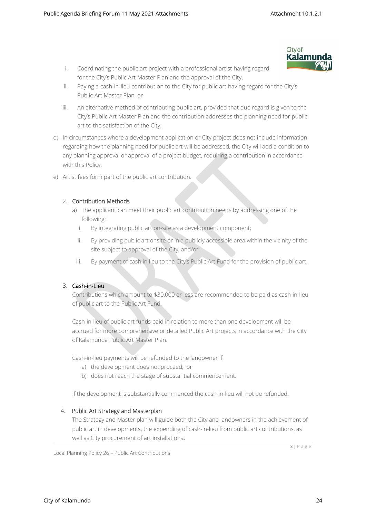**City of** Kalamı

- i. Coordinating the public art project with a professional artist having regard for the City's Public Art Master Plan and the approval of the City,
- ii. Paying a cash-in-lieu contribution to the City for public art having regard for the City's Public Art Master Plan, or
- iii. An alternative method of contributing public art, provided that due regard is given to the City's Public Art Master Plan and the contribution addresses the planning need for public art to the satisfaction of the City.
- d) In circumstances where a development application or City project does not include information regarding how the planning need for public art will be addressed, the City will add a condition to any planning approval or approval of a project budget, requiring a contribution in accordance with this Policy.
- e) Artist fees form part of the public art contribution.

#### 2. **Contribution Methods**

- a) The applicant can meet their public art contribution needs by addressing one of the following:
	- i. By integrating public art on-site as a development component;
	- ii. By providing public art onsite or in a publicly accessible area within the vicinity of the site subject to approval of the City, and/or;
	- iii. By payment of cash in lieu to the City's Public Art Fund for the provision of public art.

#### 3. **Cash-in-Lieu**

Contributions which amount to \$30,000 or less are recommended to be paid as cash-in-lieu of public art to the Public Art Fund.

Cash-in-lieu of public art funds paid in relation to more than one development will be accrued for more comprehensive or detailed Public Art projects in accordance with the City of Kalamunda Public Art Master Plan.

Cash-in-lieu payments will be refunded to the landowner if:

- a) the development does not proceed; or
- b) does not reach the stage of substantial commencement.

If the development is substantially commenced the cash-in-lieu will not be refunded.

#### 4. **Public Art Strategy and Masterplan**

The Strategy and Master plan will guide both the City and landowners in the achievement of public art in developments, the expending of cash-in-lieu from public art contributions, as well as City procurement of art installations.

Local Planning Policy 26 – Public Art Contributions

 $3 | P \text{ a } g \text{ e}$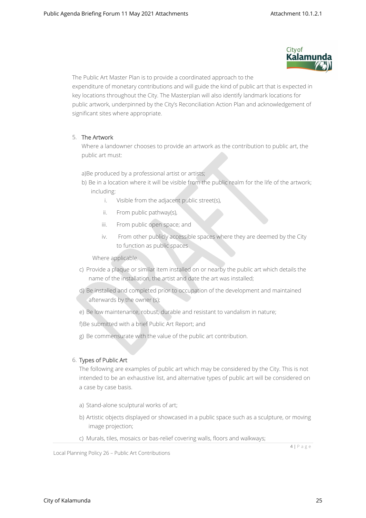

The Public Art Master Plan is to provide a coordinated approach to the expenditure of monetary contributions and will guide the kind of public art that is expected in key locations throughout the City. The Masterplan will also identify landmark locations for public artwork, underpinned by the City's Reconciliation Action Plan and acknowledgement of significant sites where appropriate.

#### 5. **The Artwork**

Where a landowner chooses to provide an artwork as the contribution to public art, the public art must:

a)Be produced by a professional artist or artists;

- b) Be in a location where it will be visible from the public realm for the life of the artwork; including:
	- i. Visible from the adjacent public street(s),
	- ii. From public pathway(s),
	- iii. From public open space; and
	- iv. From other publicly accessible spaces where they are deemed by the City to function as public spaces

Where applicable.

- c) Provide a plaque or similar item installed on or nearby the public art which details the name of the installation, the artist and date the art was installed;
- d) Be installed and completed prior to occupation of the development and maintained afterwards by the owner (s);
- e) Be low maintenance, robust, durable and resistant to vandalism in nature;

f)Be submitted with a brief Public Art Report; and

g) Be commensurate with the value of the public art contribution.

#### 6. **Types of Public Art**

The following are examples of public art which may be considered by the City. This is not intended to be an exhaustive list, and alternative types of public art will be considered on a case by case basis.

- a) Stand-alone sculptural works of art;
- b) Artistic objects displayed or showcased in a public space such as a sculpture, or moving image projection;
- c) Murals, tiles, mosaics or bas-relief covering walls, floors and walkways;

4 | P a g e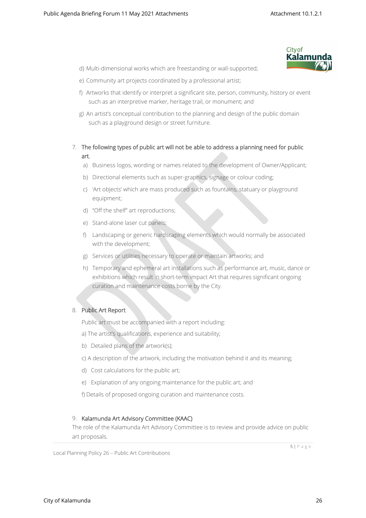

- d) Multi-dimensional works which are freestanding or wall-supported;
- e) Community art projects coordinated by a professional artist;
- f) Artworks that identify or interpret a significant site, person, community, history or event such as an interpretive marker, heritage trail, or monument; and
- g) An artist's conceptual contribution to the planning and design of the public domain such as a playground design or street furniture.
- 7. **The following types of public art will not be able to address a planning need for public art.** 
	- a) Business logos, wording or names related to the development of Owner/Applicant;
	- b) Directional elements such as super-graphics, signage or colour coding;
	- c) 'Art objects' which are mass produced such as fountains, statuary or playground equipment;
	- d) "Off the shelf" art reproductions;
	- e) Stand-alone laser cut panels;
	- f) Landscaping or generic hardscaping elements which would normally be associated with the development;
	- g) Services or utilities necessary to operate or maintain artworks; and
	- h) Temporary and ephemeral art installations such as performance art, music, dance or exhibitions which result in short-term impact Art that requires significant ongoing curation and maintenance costs borne by the City.

#### 8. **Public Art Report**

Public art must be accompanied with a report including:

- a) The artist's qualifications, experience and suitability;
- b) Detailed plans of the artwork(s);
- c) A description of the artwork, including the motivation behind it and its meaning;
- d) Cost calculations for the public art;
- e) Explanation of any ongoing maintenance for the public art; and

f) Details of proposed ongoing curation and maintenance costs.

#### 9. **Kalamunda Art Advisory Committee (KAAC)**

The role of the Kalamunda Art Advisory Committee is to review and provide advice on public art proposals.

Local Planning Policy 26 – Public Art Contributions

5 | P a g e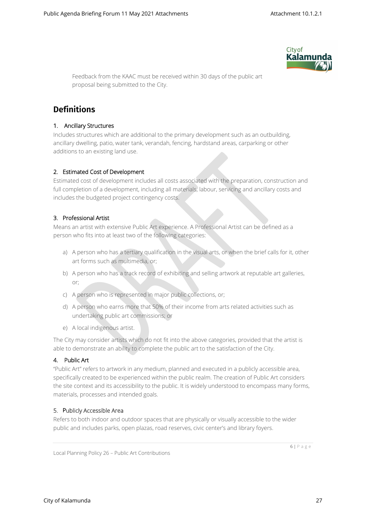

Feedback from the KAAC must be received within 30 days of the public art proposal being submitted to the City.

## **Definitions**

#### **1. Ancillary Structures**

Includes structures which are additional to the primary development such as an outbuilding, ancillary dwelling, patio, water tank, verandah, fencing, hardstand areas, carparking or other additions to an existing land use.

#### **2. Estimated Cost of Development**

Estimated cost of development includes all costs associated with the preparation, construction and full completion of a development, including all materials, labour, servicing and ancillary costs and includes the budgeted project contingency costs.

#### **3. Professional Artist**

Means an artist with extensive Public Art experience. A Professional Artist can be defined as a person who fits into at least two of the following categories:

- a) A person who has a tertiary qualification in the visual arts, or when the brief calls for it, other art forms such as multimedia, or;
- b) A person who has a track record of exhibiting and selling artwork at reputable art galleries, or;
- c) A person who is represented in major public collections, or;
- d) A person who earns more that 50% of their income from arts related activities such as undertaking public art commissions; or
- e) A local indigenous artist.

The City may consider artists which do not fit into the above categories, provided that the artist is able to demonstrate an ability to complete the public art to the satisfaction of the City.

### **4. Public Art**

"Public Art" refers to artwork in any medium, planned and executed in a publicly accessible area, specifically created to be experienced within the public realm. The creation of Public Art considers the site context and its accessibility to the public. It is widely understood to encompass many forms, materials, processes and intended goals.

### **5.** P**ublicly Accessible Area**

Refers to both indoor and outdoor spaces that are physically or visually accessible to the wider public and includes parks, open plazas, road reserves, civic center's and library foyers.

Local Planning Policy 26 – Public Art Contributions

6 | P a g e